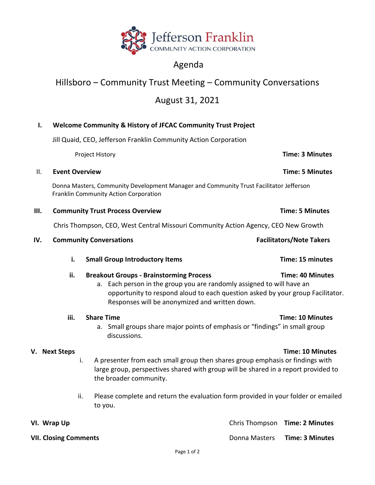

## Agenda

# Hillsboro – Community Trust Meeting – Community Conversations

### August 31, 2021

#### **I. Welcome Community & History of JFCAC Community Trust Project**

Jill Quaid, CEO, Jefferson Franklin Community Action Corporation

|     | Project History                                                                                                                 |                                         |                                                                                                                                                                                                                          | <b>Time: 3 Minutes</b>          |  |
|-----|---------------------------------------------------------------------------------------------------------------------------------|-----------------------------------------|--------------------------------------------------------------------------------------------------------------------------------------------------------------------------------------------------------------------------|---------------------------------|--|
| ΙΙ. |                                                                                                                                 | <b>Event Overview</b>                   | <b>Time: 5 Minutes</b>                                                                                                                                                                                                   |                                 |  |
|     | Donna Masters, Community Development Manager and Community Trust Facilitator Jefferson<br>Franklin Community Action Corporation |                                         |                                                                                                                                                                                                                          |                                 |  |
| Ш.  |                                                                                                                                 | <b>Community Trust Process Overview</b> | <b>Time: 5 Minutes</b>                                                                                                                                                                                                   |                                 |  |
|     | Chris Thompson, CEO, West Central Missouri Community Action Agency, CEO New Growth                                              |                                         |                                                                                                                                                                                                                          |                                 |  |
| IV. |                                                                                                                                 | <b>Community Conversations</b>          |                                                                                                                                                                                                                          | <b>Facilitators/Note Takers</b> |  |
|     | i.                                                                                                                              |                                         | <b>Small Group Introductory Items</b>                                                                                                                                                                                    | Time: 15 minutes                |  |
|     | ii.<br><b>Breakout Groups - Brainstorming Process</b><br>a.                                                                     |                                         | Each person in the group you are randomly assigned to will have an<br>opportunity to respond aloud to each question asked by your group Facilitator.<br>Responses will be anonymized and written down.                   | <b>Time: 40 Minutes</b>         |  |
|     | iii.                                                                                                                            |                                         | <b>Share Time</b><br>a. Small groups share major points of emphasis or "findings" in small group<br>discussions.                                                                                                         | <b>Time: 10 Minutes</b>         |  |
|     | V. Next Steps                                                                                                                   | i.                                      | <b>Time: 10 Minutes</b><br>A presenter from each small group then shares group emphasis or findings with<br>large group, perspectives shared with group will be shared in a report provided to<br>the broader community. |                                 |  |
|     |                                                                                                                                 | ii.                                     | Please complete and return the evaluation form provided in your folder or emailed<br>to you.                                                                                                                             |                                 |  |
|     | VI. Wrap Up                                                                                                                     |                                         |                                                                                                                                                                                                                          | Chris Thompson Time: 2 Minutes  |  |

**VII. Closing Comments VII. Closing Comments Donna Masters <b>Time: 3 Minutes**